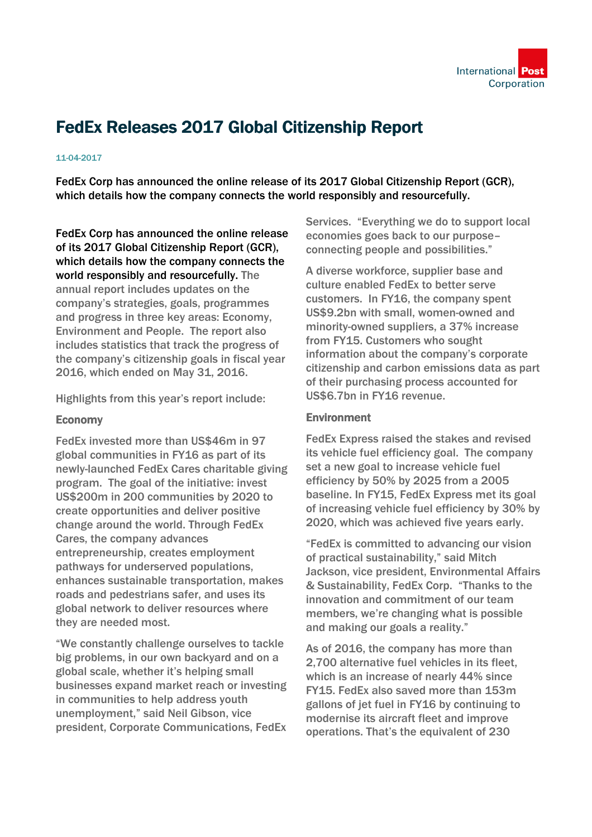

## FedEx Releases 2017 Global Citizenship Report

## 11-04-2017

FedEx Corp has announced the online release of its 2017 Global Citizenship Report (GCR), which details how the company connects the world responsibly and resourcefully.

FedEx Corp has announced the online release of its 2017 Global Citizenship Report (GCR), which details how the company connects the world responsibly and resourcefully. The annual report includes updates on the company's strategies, goals, programmes and progress in three key areas: Economy, Environment and People. The report also includes statistics that track the progress of the company's citizenship goals in fiscal year 2016, which ended on May 31, 2016.

Highlights from this year's report include:

## Economy

FedEx invested more than US\$46m in 97 global communities in FY16 as part of its newly-launched FedEx Cares charitable giving program. The goal of the initiative: invest US\$200m in 200 communities by 2020 to create opportunities and deliver positive change around the world. Through FedEx Cares, the company advances entrepreneurship, creates employment pathways for underserved populations, enhances sustainable transportation, makes roads and pedestrians safer, and uses its global network to deliver resources where they are needed most.

"We constantly challenge ourselves to tackle big problems, in our own backyard and on a global scale, whether it's helping small businesses expand market reach or investing in communities to help address youth unemployment," said Neil Gibson, vice president, Corporate Communications, FedEx Services. "Everything we do to support local economies goes back to our purpose– connecting people and possibilities."

A diverse workforce, supplier base and culture enabled FedEx to better serve customers. In FY16, the company spent US\$9.2bn with small, women-owned and minority-owned suppliers, a 37% increase from FY15. Customers who sought information about the company's corporate citizenship and carbon emissions data as part of their purchasing process accounted for US\$6.7bn in FY16 revenue.

## **Environment**

FedEx Express raised the stakes and revised its vehicle fuel efficiency goal. The company set a new goal to increase vehicle fuel efficiency by 50% by 2025 from a 2005 baseline. In FY15, FedEx Express met its goal of increasing vehicle fuel efficiency by 30% by 2020, which was achieved five years early.

"FedEx is committed to advancing our vision of practical sustainability," said Mitch Jackson, vice president, Environmental Affairs & Sustainability, FedEx Corp. "Thanks to the innovation and commitment of our team members, we're changing what is possible and making our goals a reality."

As of 2016, the company has more than 2,700 alternative fuel vehicles in its fleet, which is an increase of nearly 44% since FY15. FedEx also saved more than 153m gallons of jet fuel in FY16 by continuing to modernise its aircraft fleet and improve operations. That's the equivalent of 230